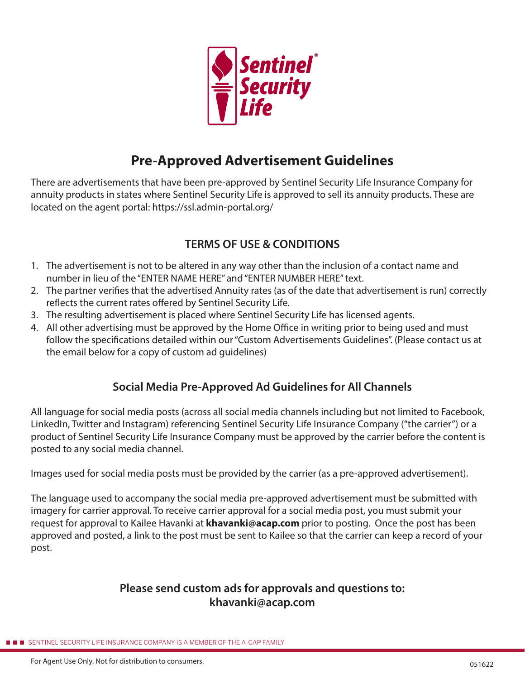

# **Pre-Approved Advertisement Guidelines**

There are advertisements that have been pre-approved by Sentinel Security Life Insurance Company for annuity products in states where Sentinel Security Life is approved to sell its annuity products. These are located on the agent portal: https://ssl.admin-portal.org/

## **TERMS OF USE & CONDITIONS**

- 1. The advertisement is not to be altered in any way other than the inclusion of a contact name and number in lieu of the "ENTER NAME HERE" and "ENTER NUMBER HERE" text.
- 2. The partner verifies that the advertised Annuity rates (as of the date that advertisement is run) correctly reflects the current rates offered by Sentinel Security Life.
- 3. The resulting advertisement is placed where Sentinel Security Life has licensed agents.
- 4. All other advertising must be approved by the Home Office in writing prior to being used and must follow the specifications detailed within our "Custom Advertisements Guidelines". (Please contact us at the email below for a copy of custom ad guidelines)

### **Social Media Pre-Approved Ad Guidelines for All Channels**

All language for social media posts (across all social media channels including but not limited to Facebook, LinkedIn, Twitter and Instagram) referencing Sentinel Security Life Insurance Company ("the carrier") or a product of Sentinel Security Life Insurance Company must be approved by the carrier before the content is posted to any social media channel.

Images used for social media posts must be provided by the carrier (as a pre-approved advertisement).

The language used to accompany the social media pre-approved advertisement must be submitted with imagery for carrier approval. To receive carrier approval for a social media post, you must submit your request for approval to Kailee Havanki at **khavanki@acap.com** prior to posting. Once the post has been approved and posted, a link to the post must be sent to Kailee so that the carrier can keep a record of your post.

### **Please send custom ads for approvals and questions to: khavanki@acap.com**